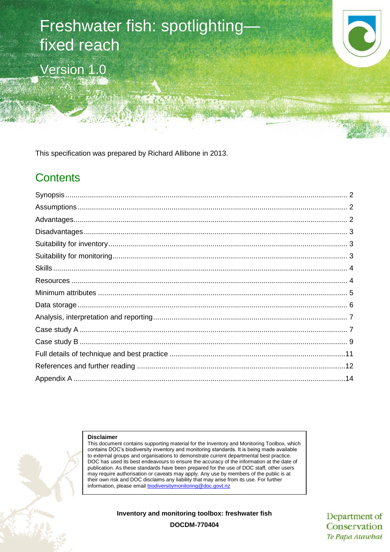# Freshwater fish: spotlighting fixed reach Version 1.0



This specification was prepared by Richard Allibone in 2013.

# **Contents**

#### **Disclaimer**

This document contains supporting material for the Inventory and Monitoring Toolbox, which contains DOC's biodiversity inventory and monitoring standards. It is being made available to external groups and organisations to demonstrate current departmental best practice. DOC has used its best endeavours to ensure the accuracy of the information at the date of publication. As these standards have been prepared for the use of DOC staff, other users may require authorisation or caveats may apply. Any use by members of the public is at their own risk and DOC disclaims any liability that may arise from its use. For further information, please email [biodiversitymonitoring@doc.govt.nz](mailto:biodiversitymonitoring@doc.govt.nz)

**Inventory and monitoring toolbox: freshwater fish**

Department of Conservation Te Papa Atawbai

**DOCDM-770404**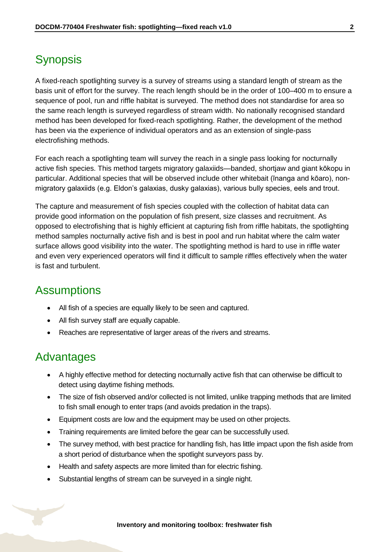# <span id="page-1-0"></span>**Synopsis**

A fixed-reach spotlighting survey is a survey of streams using a standard length of stream as the basis unit of effort for the survey. The reach length should be in the order of 100–400 m to ensure a sequence of pool, run and riffle habitat is surveyed. The method does not standardise for area so the same reach length is surveyed regardless of stream width. No nationally recognised standard method has been developed for fixed-reach spotlighting. Rather, the development of the method has been via the experience of individual operators and as an extension of single-pass electrofishing methods.

For each reach a spotlighting team will survey the reach in a single pass looking for nocturnally active fish species. This method targets migratory galaxiids—banded, shortjaw and giant kōkopu in particular. Additional species that will be observed include other whitebait (īnanga and kōaro), nonmigratory galaxiids (e.g. Eldon's galaxias, dusky galaxias), various bully species, eels and trout.

The capture and measurement of fish species coupled with the collection of habitat data can provide good information on the population of fish present, size classes and recruitment. As opposed to electrofishing that is highly efficient at capturing fish from riffle habitats, the spotlighting method samples nocturnally active fish and is best in pool and run habitat where the calm water surface allows good visibility into the water. The spotlighting method is hard to use in riffle water and even very experienced operators will find it difficult to sample riffles effectively when the water is fast and turbulent.

### <span id="page-1-1"></span>**Assumptions**

- All fish of a species are equally likely to be seen and captured.
- All fish survey staff are equally capable.
- Reaches are representative of larger areas of the rivers and streams.

### <span id="page-1-2"></span>Advantages

- A highly effective method for detecting nocturnally active fish that can otherwise be difficult to detect using daytime fishing methods.
- The size of fish observed and/or collected is not limited, unlike trapping methods that are limited to fish small enough to enter traps (and avoids predation in the traps).
- Equipment costs are low and the equipment may be used on other projects.
- Training requirements are limited before the gear can be successfully used.
- The survey method, with best practice for handling fish, has little impact upon the fish aside from a short period of disturbance when the spotlight surveyors pass by.
- Health and safety aspects are more limited than for electric fishing.
- Substantial lengths of stream can be surveyed in a single night.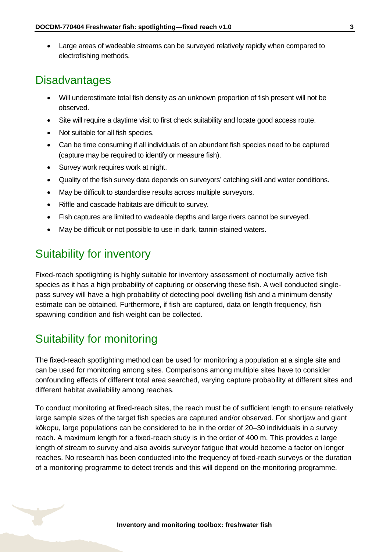Large areas of wadeable streams can be surveyed relatively rapidly when compared to electrofishing methods.

### <span id="page-2-0"></span>**Disadvantages**

- Will underestimate total fish density as an unknown proportion of fish present will not be observed.
- Site will require a daytime visit to first check suitability and locate good access route.
- Not suitable for all fish species.
- Can be time consuming if all individuals of an abundant fish species need to be captured (capture may be required to identify or measure fish).
- Survey work requires work at night.
- Quality of the fish survey data depends on surveyors' catching skill and water conditions.
- May be difficult to standardise results across multiple surveyors.
- Riffle and cascade habitats are difficult to survey.
- Fish captures are limited to wadeable depths and large rivers cannot be surveyed.
- May be difficult or not possible to use in dark, tannin-stained waters.

# <span id="page-2-1"></span>Suitability for inventory

Fixed-reach spotlighting is highly suitable for inventory assessment of nocturnally active fish species as it has a high probability of capturing or observing these fish. A well conducted singlepass survey will have a high probability of detecting pool dwelling fish and a minimum density estimate can be obtained. Furthermore, if fish are captured, data on length frequency, fish spawning condition and fish weight can be collected.

# <span id="page-2-2"></span>Suitability for monitoring

The fixed-reach spotlighting method can be used for monitoring a population at a single site and can be used for monitoring among sites. Comparisons among multiple sites have to consider confounding effects of different total area searched, varying capture probability at different sites and different habitat availability among reaches.

To conduct monitoring at fixed-reach sites, the reach must be of sufficient length to ensure relatively large sample sizes of the target fish species are captured and/or observed. For shortjaw and giant kōkopu, large populations can be considered to be in the order of 20–30 individuals in a survey reach. A maximum length for a fixed-reach study is in the order of 400 m. This provides a large length of stream to survey and also avoids surveyor fatigue that would become a factor on longer reaches. No research has been conducted into the frequency of fixed-reach surveys or the duration of a monitoring programme to detect trends and this will depend on the monitoring programme.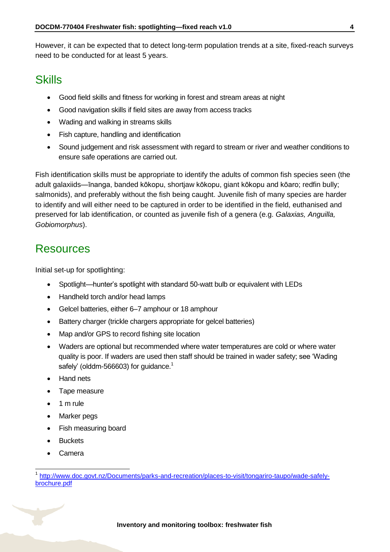However, it can be expected that to detect long-term population trends at a site, fixed-reach surveys need to be conducted for at least 5 years.

### <span id="page-3-0"></span>**Skills**

- Good field skills and fitness for working in forest and stream areas at night
- Good navigation skills if field sites are away from access tracks
- Wading and walking in streams skills
- Fish capture, handling and identification
- Sound judgement and risk assessment with regard to stream or river and weather conditions to ensure safe operations are carried out.

Fish identification skills must be appropriate to identify the adults of common fish species seen (the adult galaxiids—īnanga, banded kōkopu, shortjaw kōkopu, giant kōkopu and kōaro; redfin bully; salmonids), and preferably without the fish being caught. Juvenile fish of many species are harder to identify and will either need to be captured in order to be identified in the field, euthanised and preserved for lab identification, or counted as juvenile fish of a genera (e.g. *Galaxias, Anguilla, Gobiomorphus*).

### <span id="page-3-1"></span>Resources

Initial set-up for spotlighting:

- Spotlight—hunter's spotlight with standard 50-watt bulb or equivalent with LEDs
- Handheld torch and/or head lamps
- Gelcel batteries, either 6–7 amphour or 18 amphour
- Battery charger (trickle chargers appropriate for gelcel batteries)
- Map and/or GPS to record fishing site location
- Waders are optional but recommended where water temperatures are cold or where water quality is poor. If waders are used then staff should be trained in wader safety; see 'Wading safely' (olddm-566603) for guidance.<sup>1</sup>
- Hand nets
- Tape measure
- $\bullet$  1 m rule
- Marker pegs
- Fish measuring board
- **Buckets**
- Camera

 $\overline{1}$ 

<sup>1</sup> [http://www.doc.govt.nz/Documents/parks-and-recreation/places-to-visit/tongariro-taupo/wade-safely](http://www.doc.govt.nz/Documents/parks-and-recreation/places-to-visit/tongariro-taupo/wade-safely-brochure.pdf)[brochure.pdf](http://www.doc.govt.nz/Documents/parks-and-recreation/places-to-visit/tongariro-taupo/wade-safely-brochure.pdf)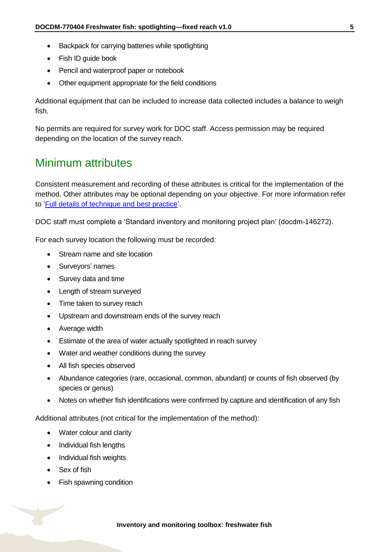- Backpack for carrying batteries while spotlighting
- Fish ID guide book
- Pencil and waterproof paper or notebook
- Other equipment appropriate for the field conditions

Additional equipment that can be included to increase data collected includes a balance to weigh fish.

No permits are required for survey work for DOC staff. Access permission may be required depending on the location of the survey reach.

# <span id="page-4-0"></span>Minimum attributes

Consistent measurement and recording of these attributes is critical for the implementation of the method. Other attributes may be optional depending on your objective. For more information refer to ['Full details of technique and best practice'](#page-10-0).

DOC staff must complete a 'Standard inventory and monitoring project plan' (docdm-146272).

For each survey location the following must be recorded:

- Stream name and site location
- Surveyors' names
- Survey data and time
- Length of stream surveyed
- Time taken to survey reach
- Upstream and downstream ends of the survey reach
- Average width
- Estimate of the area of water actually spotlighted in reach survey
- Water and weather conditions during the survey
- All fish species observed
- Abundance categories (rare, occasional, common, abundant) or counts of fish observed (by species or genus)
- Notes on whether fish identifications were confirmed by capture and identification of any fish

Additional attributes (not critical for the implementation of the method):

- Water colour and clarity
- Individual fish lengths
- Individual fish weights
- Sex of fish
- Fish spawning condition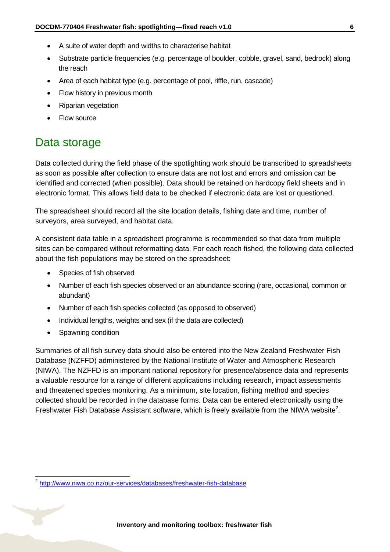- A suite of water depth and widths to characterise habitat
- Substrate particle frequencies (e.g. percentage of boulder, cobble, gravel, sand, bedrock) along the reach
- Area of each habitat type (e.g. percentage of pool, riffle, run, cascade)
- Flow history in previous month
- Riparian vegetation
- Flow source

# <span id="page-5-0"></span>Data storage

Data collected during the field phase of the spotlighting work should be transcribed to spreadsheets as soon as possible after collection to ensure data are not lost and errors and omission can be identified and corrected (when possible). Data should be retained on hardcopy field sheets and in electronic format. This allows field data to be checked if electronic data are lost or questioned.

The spreadsheet should record all the site location details, fishing date and time, number of surveyors, area surveyed, and habitat data.

A consistent data table in a spreadsheet programme is recommended so that data from multiple sites can be compared without reformatting data. For each reach fished, the following data collected about the fish populations may be stored on the spreadsheet:

- Species of fish observed
- Number of each fish species observed or an abundance scoring (rare, occasional, common or abundant)
- Number of each fish species collected (as opposed to observed)
- Individual lengths, weights and sex (if the data are collected)
- Spawning condition

-

Summaries of all fish survey data should also be entered into the New Zealand Freshwater Fish Database (NZFFD) administered by the National Institute of Water and Atmospheric Research (NIWA). The NZFFD is an important national repository for presence/absence data and represents a valuable resource for a range of different applications including research, impact assessments and threatened species monitoring. As a minimum, site location, fishing method and species collected should be recorded in the database forms. Data can be entered electronically using the Freshwater Fish Database Assistant software, which is freely available from the NIWA website<sup>2</sup>.

<sup>&</sup>lt;sup>2</sup> <http://www.niwa.co.nz/our-services/databases/freshwater-fish-database>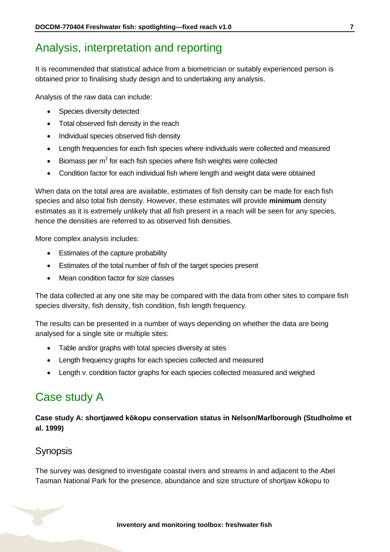# <span id="page-6-0"></span>Analysis, interpretation and reporting

It is recommended that statistical advice from a biometrician or suitably experienced person is obtained prior to finalising study design and to undertaking any analysis.

Analysis of the raw data can include:

- Species diversity detected
- Total observed fish density in the reach
- Individual species observed fish density
- Length frequencies for each fish species where individuals were collected and measured
- $\bullet$  Biomass per m<sup>2</sup> for each fish species where fish weights were collected
- Condition factor for each individual fish where length and weight data were obtained

When data on the total area are available, estimates of fish density can be made for each fish species and also total fish density. However, these estimates will provide **minimum** density estimates as it is extremely unlikely that all fish present in a reach will be seen for any species, hence the densities are referred to as observed fish densities.

More complex analysis includes:

- Estimates of the capture probability
- Estimates of the total number of fish of the target species present
- Mean condition factor for size classes

The data collected at any one site may be compared with the data from other sites to compare fish species diversity, fish density, fish condition, fish length frequency.

The results can be presented in a number of ways depending on whether the data are being analysed for a single site or multiple sites:

- Table and/or graphs with total species diversity at sites
- Length frequency graphs for each species collected and measured
- Length v. condition factor graphs for each species collected measured and weighed

# <span id="page-6-1"></span>Case study A

**Case study A: shortjawed kōkopu conservation status in Nelson/Marlborough (Studholme et al. 1999)**

### Synopsis

The survey was designed to investigate coastal rivers and streams in and adjacent to the Abel Tasman National Park for the presence, abundance and size structure of shortjaw kōkopu to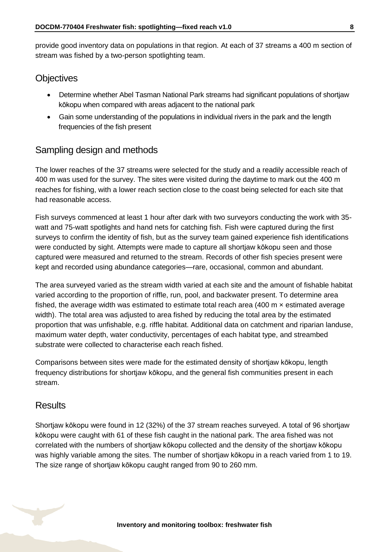provide good inventory data on populations in that region. At each of 37 streams a 400 m section of stream was fished by a two-person spotlighting team.

### **Objectives**

- Determine whether Abel Tasman National Park streams had significant populations of shortjaw kōkopu when compared with areas adjacent to the national park
- Gain some understanding of the populations in individual rivers in the park and the length frequencies of the fish present

### Sampling design and methods

The lower reaches of the 37 streams were selected for the study and a readily accessible reach of 400 m was used for the survey. The sites were visited during the daytime to mark out the 400 m reaches for fishing, with a lower reach section close to the coast being selected for each site that had reasonable access.

Fish surveys commenced at least 1 hour after dark with two surveyors conducting the work with 35 watt and 75-watt spotlights and hand nets for catching fish. Fish were captured during the first surveys to confirm the identity of fish, but as the survey team gained experience fish identifications were conducted by sight. Attempts were made to capture all shortjaw kōkopu seen and those captured were measured and returned to the stream. Records of other fish species present were kept and recorded using abundance categories—rare, occasional, common and abundant.

The area surveyed varied as the stream width varied at each site and the amount of fishable habitat varied according to the proportion of riffle, run, pool, and backwater present. To determine area fished, the average width was estimated to estimate total reach area (400 m $\times$  estimated average width). The total area was adjusted to area fished by reducing the total area by the estimated proportion that was unfishable, e.g. riffle habitat. Additional data on catchment and riparian landuse, maximum water depth, water conductivity, percentages of each habitat type, and streambed substrate were collected to characterise each reach fished.

Comparisons between sites were made for the estimated density of shortjaw kōkopu, length frequency distributions for shortjaw kōkopu, and the general fish communities present in each stream.

### **Results**

Shortjaw kōkopu were found in 12 (32%) of the 37 stream reaches surveyed. A total of 96 shortjaw kōkopu were caught with 61 of these fish caught in the national park. The area fished was not correlated with the numbers of shortjaw kōkopu collected and the density of the shortjaw kōkopu was highly variable among the sites. The number of shortjaw kōkopu in a reach varied from 1 to 19. The size range of shortjaw kōkopu caught ranged from 90 to 260 mm.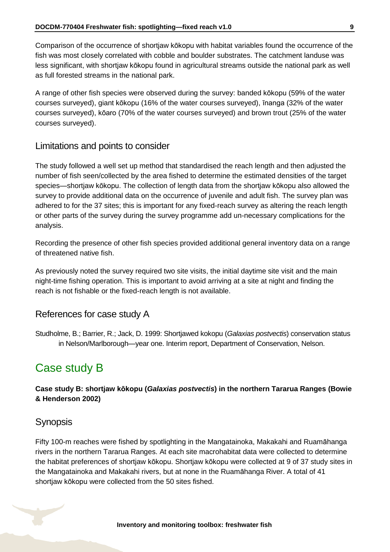Comparison of the occurrence of shortjaw kōkopu with habitat variables found the occurrence of the fish was most closely correlated with cobble and boulder substrates. The catchment landuse was less significant, with shortjaw kōkopu found in agricultural streams outside the national park as well as full forested streams in the national park.

A range of other fish species were observed during the survey: banded kōkopu (59% of the water courses surveyed), giant kōkopu (16% of the water courses surveyed), īnanga (32% of the water courses surveyed), kōaro (70% of the water courses surveyed) and brown trout (25% of the water courses surveyed).

### Limitations and points to consider

The study followed a well set up method that standardised the reach length and then adjusted the number of fish seen/collected by the area fished to determine the estimated densities of the target species—shortjaw kōkopu. The collection of length data from the shortjaw kōkopu also allowed the survey to provide additional data on the occurrence of juvenile and adult fish. The survey plan was adhered to for the 37 sites; this is important for any fixed-reach survey as altering the reach length or other parts of the survey during the survey programme add un-necessary complications for the analysis.

Recording the presence of other fish species provided additional general inventory data on a range of threatened native fish.

As previously noted the survey required two site visits, the initial daytime site visit and the main night-time fishing operation. This is important to avoid arriving at a site at night and finding the reach is not fishable or the fixed-reach length is not available.

### References for case study A

Studholme, B.; Barrier, R.; Jack, D. 1999: Shortjawed kokopu (*Galaxias postvectis*) conservation status in Nelson/Marlborough—year one. Interim report, Department of Conservation, Nelson.

# <span id="page-8-0"></span>Case study B

#### **Case study B: shortjaw kōkopu (***Galaxias postvectis***) in the northern Tararua Ranges (Bowie & Henderson 2002)**

### Synopsis

Fifty 100-m reaches were fished by spotlighting in the Mangatainoka, Makakahi and Ruamāhanga rivers in the northern Tararua Ranges. At each site macrohabitat data were collected to determine the habitat preferences of shortjaw kōkopu. Shortjaw kōkopu were collected at 9 of 37 study sites in the Mangatainoka and Makakahi rivers, but at none in the Ruamāhanga River. A total of 41 shortjaw kōkopu were collected from the 50 sites fished.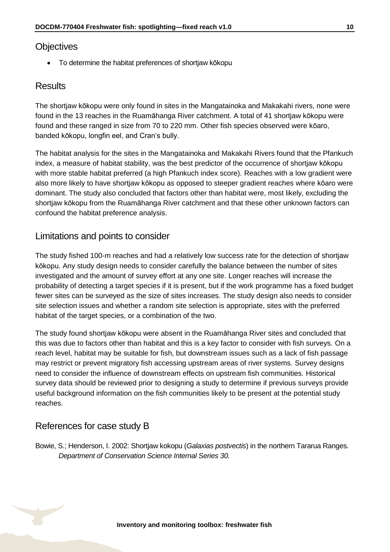### **Objectives**

To determine the habitat preferences of shortjaw kōkopu

### **Results**

The shortjaw kōkopu were only found in sites in the Mangatainoka and Makakahi rivers, none were found in the 13 reaches in the Ruamāhanga River catchment. A total of 41 shortjaw kōkopu were found and these ranged in size from 70 to 220 mm. Other fish species observed were kōaro, banded kōkopu, longfin eel, and Cran's bully.

The habitat analysis for the sites in the Mangatainoka and Makakahi Rivers found that the Pfankuch index, a measure of habitat stability, was the best predictor of the occurrence of shortjaw kōkopu with more stable habitat preferred (a high Pfankuch index score). Reaches with a low gradient were also more likely to have shortjaw kōkopu as opposed to steeper gradient reaches where kōaro were dominant. The study also concluded that factors other than habitat were, most likely, excluding the shortjaw kōkopu from the Ruamāhanga River catchment and that these other unknown factors can confound the habitat preference analysis.

### Limitations and points to consider

The study fished 100-m reaches and had a relatively low success rate for the detection of shortjaw kōkopu. Any study design needs to consider carefully the balance between the number of sites investigated and the amount of survey effort at any one site. Longer reaches will increase the probability of detecting a target species if it is present, but if the work programme has a fixed budget fewer sites can be surveyed as the size of sites increases. The study design also needs to consider site selection issues and whether a random site selection is appropriate, sites with the preferred habitat of the target species, or a combination of the two.

The study found shortjaw kōkopu were absent in the Ruamāhanga River sites and concluded that this was due to factors other than habitat and this is a key factor to consider with fish surveys. On a reach level, habitat may be suitable for fish, but downstream issues such as a lack of fish passage may restrict or prevent migratory fish accessing upstream areas of river systems. Survey designs need to consider the influence of downstream effects on upstream fish communities. Historical survey data should be reviewed prior to designing a study to determine if previous surveys provide useful background information on the fish communities likely to be present at the potential study reaches.

### References for case study B

Bowie, S.; Henderson, I. 2002: Shortjaw kokopu (*Galaxias postvectis*) in the northern Tararua Ranges. *Department of Conservation Science Internal Series 30.*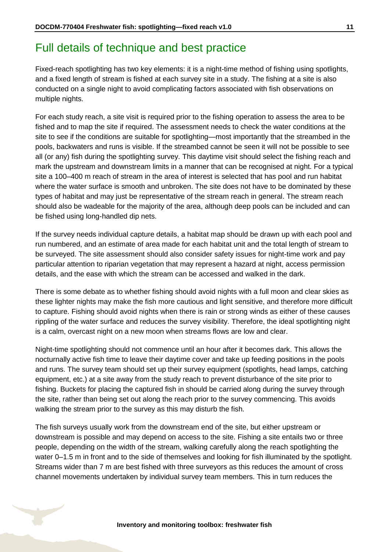# <span id="page-10-0"></span>Full details of technique and best practice

Fixed-reach spotlighting has two key elements: it is a night-time method of fishing using spotlights, and a fixed length of stream is fished at each survey site in a study. The fishing at a site is also conducted on a single night to avoid complicating factors associated with fish observations on multiple nights.

For each study reach, a site visit is required prior to the fishing operation to assess the area to be fished and to map the site if required. The assessment needs to check the water conditions at the site to see if the conditions are suitable for spotlighting—most importantly that the streambed in the pools, backwaters and runs is visible. If the streambed cannot be seen it will not be possible to see all (or any) fish during the spotlighting survey. This daytime visit should select the fishing reach and mark the upstream and downstream limits in a manner that can be recognised at night. For a typical site a 100–400 m reach of stream in the area of interest is selected that has pool and run habitat where the water surface is smooth and unbroken. The site does not have to be dominated by these types of habitat and may just be representative of the stream reach in general. The stream reach should also be wadeable for the majority of the area, although deep pools can be included and can be fished using long-handled dip nets.

If the survey needs individual capture details, a habitat map should be drawn up with each pool and run numbered, and an estimate of area made for each habitat unit and the total length of stream to be surveyed. The site assessment should also consider safety issues for night-time work and pay particular attention to riparian vegetation that may represent a hazard at night, access permission details, and the ease with which the stream can be accessed and walked in the dark.

There is some debate as to whether fishing should avoid nights with a full moon and clear skies as these lighter nights may make the fish more cautious and light sensitive, and therefore more difficult to capture. Fishing should avoid nights when there is rain or strong winds as either of these causes rippling of the water surface and reduces the survey visibility. Therefore, the ideal spotlighting night is a calm, overcast night on a new moon when streams flows are low and clear.

Night-time spotlighting should not commence until an hour after it becomes dark. This allows the nocturnally active fish time to leave their daytime cover and take up feeding positions in the pools and runs. The survey team should set up their survey equipment (spotlights, head lamps, catching equipment, etc.) at a site away from the study reach to prevent disturbance of the site prior to fishing. Buckets for placing the captured fish in should be carried along during the survey through the site, rather than being set out along the reach prior to the survey commencing. This avoids walking the stream prior to the survey as this may disturb the fish.

The fish surveys usually work from the downstream end of the site, but either upstream or downstream is possible and may depend on access to the site. Fishing a site entails two or three people, depending on the width of the stream, walking carefully along the reach spotlighting the water 0–1.5 m in front and to the side of themselves and looking for fish illuminated by the spotlight. Streams wider than 7 m are best fished with three surveyors as this reduces the amount of cross channel movements undertaken by individual survey team members. This in turn reduces the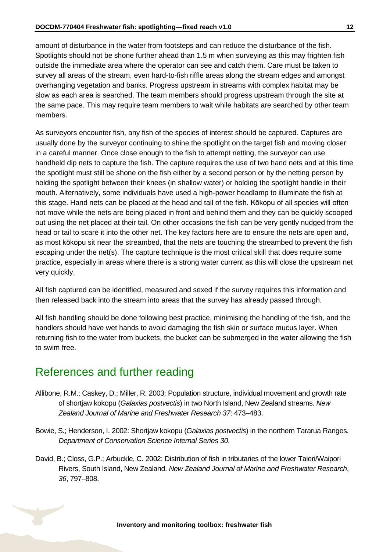amount of disturbance in the water from footsteps and can reduce the disturbance of the fish. Spotlights should not be shone further ahead than 1.5 m when surveying as this may frighten fish outside the immediate area where the operator can see and catch them. Care must be taken to survey all areas of the stream, even hard-to-fish riffle areas along the stream edges and amongst overhanging vegetation and banks. Progress upstream in streams with complex habitat may be slow as each area is searched. The team members should progress upstream through the site at the same pace. This may require team members to wait while habitats are searched by other team members.

As surveyors encounter fish, any fish of the species of interest should be captured. Captures are usually done by the surveyor continuing to shine the spotlight on the target fish and moving closer in a careful manner. Once close enough to the fish to attempt netting, the surveyor can use handheld dip nets to capture the fish. The capture requires the use of two hand nets and at this time the spotlight must still be shone on the fish either by a second person or by the netting person by holding the spotlight between their knees (in shallow water) or holding the spotlight handle in their mouth. Alternatively, some individuals have used a high-power headlamp to illuminate the fish at this stage. Hand nets can be placed at the head and tail of the fish. Kōkopu of all species will often not move while the nets are being placed in front and behind them and they can be quickly scooped out using the net placed at their tail. On other occasions the fish can be very gently nudged from the head or tail to scare it into the other net. The key factors here are to ensure the nets are open and, as most kōkopu sit near the streambed, that the nets are touching the streambed to prevent the fish escaping under the net(s). The capture technique is the most critical skill that does require some practice, especially in areas where there is a strong water current as this will close the upstream net very quickly.

All fish captured can be identified, measured and sexed if the survey requires this information and then released back into the stream into areas that the survey has already passed through.

All fish handling should be done following best practice, minimising the handling of the fish, and the handlers should have wet hands to avoid damaging the fish skin or surface mucus layer. When returning fish to the water from buckets, the bucket can be submerged in the water allowing the fish to swim free.

# <span id="page-11-0"></span>References and further reading

- Allibone, R.M.; Caskey, D.; Miller, R. 2003: Population structure, individual movement and growth rate of shortjaw kokopu (*Galaxias postvectis*) in two North Island, New Zealand streams. *New Zealand Journal of Marine and Freshwater Research 37*: 473–483.
- Bowie, S.; Henderson, I. 2002: Shortjaw kokopu (*Galaxias postvectis*) in the northern Tararua Ranges. *Department of Conservation Science Internal Series 30*.
- David, B.; Closs, G.P.; Arbuckle, C. 2002: Distribution of fish in tributaries of the lower Taieri/Waipori Rivers, South Island, New Zealand. *New Zealand Journal of Marine and Freshwater Research*, *36*, 797–808.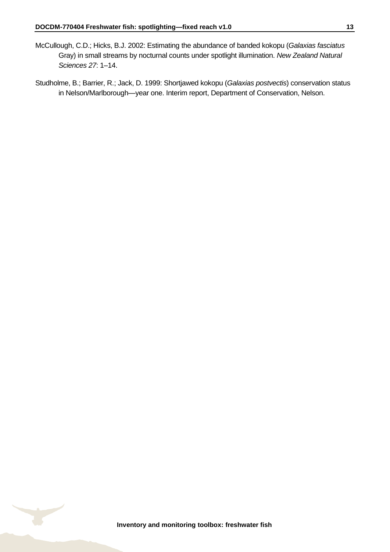- McCullough, C.D.; Hicks, B.J. 2002: Estimating the abundance of banded kokopu (*Galaxias fasciatus* Gray) in small streams by nocturnal counts under spotlight illumination. *New Zealand Natural Sciences 27*: 1–14.
- Studholme, B.; Barrier, R.; Jack, D. 1999: Shortjawed kokopu (*Galaxias postvectis*) conservation status in Nelson/Marlborough—year one. Interim report, Department of Conservation, Nelson.